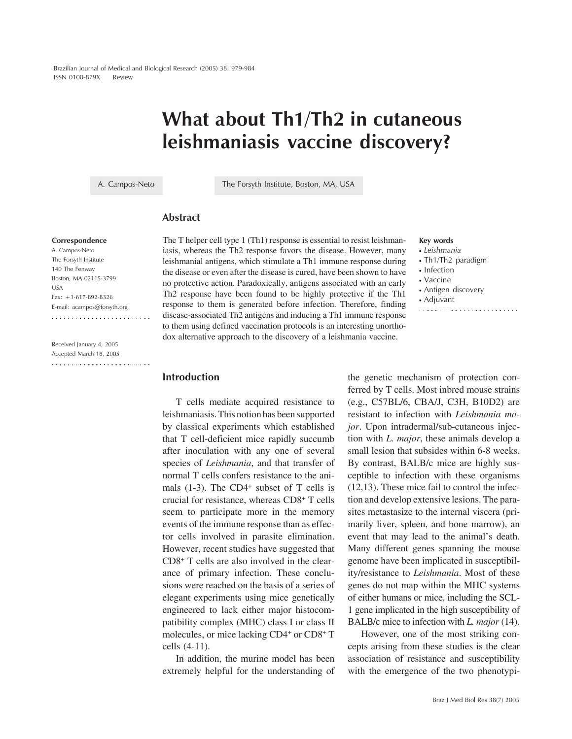# **What about Th1/Th2 in cutaneous leishmaniasis vaccine discovery?**

A. Campos-Neto The Forsyth Institute, Boston, MA, USA

# **Abstract**

### **Correspondence**

A. Campos-Neto The Forsyth Institute 140 The Fenway Boston, MA 02115-3799 USA Fax: +1-617-892-8326 E-mail: acampos@forsyth.org

Received January 4, 2005 Accepted March 18, 2005  The T helper cell type 1 (Th1) response is essential to resist leishmaniasis, whereas the Th2 response favors the disease. However, many leishmanial antigens, which stimulate a Th1 immune response during the disease or even after the disease is cured, have been shown to have no protective action. Paradoxically, antigens associated with an early Th2 response have been found to be highly protective if the Th1 response to them is generated before infection. Therefore, finding disease-associated Th2 antigens and inducing a Th1 immune response to them using defined vaccination protocols is an interesting unorthodox alternative approach to the discovery of a leishmania vaccine.

## **Key words**

- *Leishmania*
- Th1/Th2 paradigm
- Infection
- Vaccine
- Antigen discovery
- Adjuvant

#### 

## **Introduction**

T cells mediate acquired resistance to leishmaniasis. This notion has been supported by classical experiments which established that T cell-deficient mice rapidly succumb after inoculation with any one of several species of *Leishmania*, and that transfer of normal T cells confers resistance to the animals  $(1-3)$ . The CD4<sup>+</sup> subset of T cells is crucial for resistance, whereas CD8+ T cells seem to participate more in the memory events of the immune response than as effector cells involved in parasite elimination. However, recent studies have suggested that CD8+ T cells are also involved in the clearance of primary infection. These conclusions were reached on the basis of a series of elegant experiments using mice genetically engineered to lack either major histocompatibility complex (MHC) class I or class II molecules, or mice lacking CD4+ or CD8+ T cells (4-11).

In addition, the murine model has been extremely helpful for the understanding of

the genetic mechanism of protection conferred by T cells. Most inbred mouse strains (e.g., C57BL/6, CBA/J, C3H, B10D2) are resistant to infection with *Leishmania major*. Upon intradermal/sub-cutaneous injection with *L. major*, these animals develop a small lesion that subsides within 6-8 weeks. By contrast, BALB/c mice are highly susceptible to infection with these organisms (12,13). These mice fail to control the infection and develop extensive lesions. The parasites metastasize to the internal viscera (primarily liver, spleen, and bone marrow), an event that may lead to the animal's death. Many different genes spanning the mouse genome have been implicated in susceptibility/resistance to *Leishmania*. Most of these genes do not map within the MHC systems of either humans or mice, including the SCL-1 gene implicated in the high susceptibility of BALB/c mice to infection with *L. major* (14).

However, one of the most striking concepts arising from these studies is the clear association of resistance and susceptibility with the emergence of the two phenotypi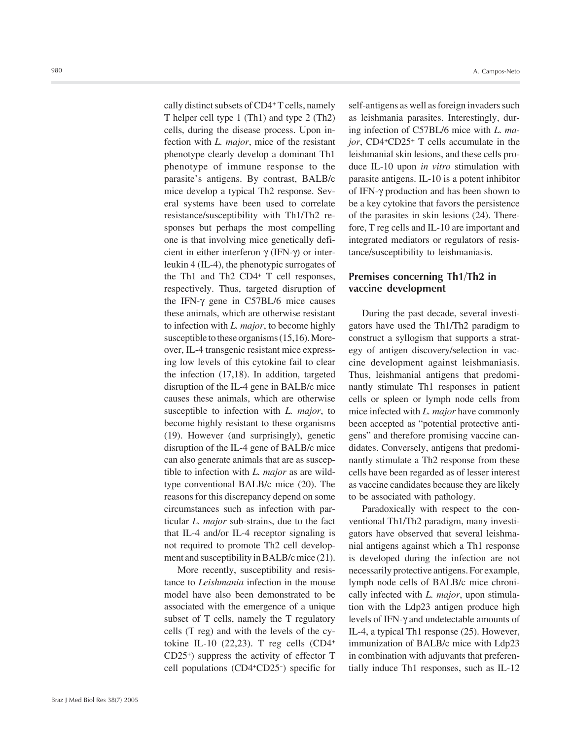cally distinct subsets of CD4+ T cells, namely T helper cell type 1 (Th1) and type 2 (Th2) cells, during the disease process. Upon infection with *L. major*, mice of the resistant phenotype clearly develop a dominant Th1 phenotype of immune response to the parasite's antigens. By contrast, BALB/c mice develop a typical Th2 response. Several systems have been used to correlate resistance/susceptibility with Th1/Th2 responses but perhaps the most compelling one is that involving mice genetically deficient in either interferon γ (IFN-γ) or interleukin 4 (IL-4), the phenotypic surrogates of the Th1 and Th2 CD4+ T cell responses, respectively. Thus, targeted disruption of the IFN-γ gene in C57BL/6 mice causes these animals, which are otherwise resistant to infection with *L. major*, to become highly susceptible to these organisms (15,16). Moreover, IL-4 transgenic resistant mice expressing low levels of this cytokine fail to clear the infection (17,18). In addition, targeted disruption of the IL-4 gene in BALB/c mice causes these animals, which are otherwise susceptible to infection with *L. major*, to become highly resistant to these organisms (19). However (and surprisingly), genetic disruption of the IL-4 gene of BALB/c mice can also generate animals that are as susceptible to infection with *L. major* as are wildtype conventional BALB/c mice (20). The reasons for this discrepancy depend on some circumstances such as infection with particular *L. major* sub-strains, due to the fact that IL-4 and/or IL-4 receptor signaling is not required to promote Th2 cell development and susceptibility in BALB/c mice (21).

More recently, susceptibility and resistance to *Leishmania* infection in the mouse model have also been demonstrated to be associated with the emergence of a unique subset of T cells, namely the T regulatory cells (T reg) and with the levels of the cytokine IL-10 (22,23). T reg cells (CD4+ CD25+) suppress the activity of effector T cell populations (CD4+CD25- ) specific for

self-antigens as well as foreign invaders such as leishmania parasites. Interestingly, during infection of C57BL/6 mice with *L. major*, CD4+CD25+ T cells accumulate in the leishmanial skin lesions, and these cells produce IL-10 upon *in vitro* stimulation with parasite antigens. IL-10 is a potent inhibitor of IFN-γ production and has been shown to be a key cytokine that favors the persistence of the parasites in skin lesions (24). Therefore, T reg cells and IL-10 are important and integrated mediators or regulators of resistance/susceptibility to leishmaniasis.

## **Premises concerning Th1/Th2 in vaccine development**

During the past decade, several investigators have used the Th1/Th2 paradigm to construct a syllogism that supports a strategy of antigen discovery/selection in vaccine development against leishmaniasis. Thus, leishmanial antigens that predominantly stimulate Th1 responses in patient cells or spleen or lymph node cells from mice infected with *L. major* have commonly been accepted as "potential protective antigens" and therefore promising vaccine candidates. Conversely, antigens that predominantly stimulate a Th2 response from these cells have been regarded as of lesser interest as vaccine candidates because they are likely to be associated with pathology.

Paradoxically with respect to the conventional Th1/Th2 paradigm, many investigators have observed that several leishmanial antigens against which a Th1 response is developed during the infection are not necessarily protective antigens. For example, lymph node cells of BALB/c mice chronically infected with *L. major*, upon stimulation with the Ldp23 antigen produce high levels of IFN-γ and undetectable amounts of IL-4, a typical Th1 response (25). However, immunization of BALB/c mice with Ldp23 in combination with adjuvants that preferentially induce Th1 responses, such as IL-12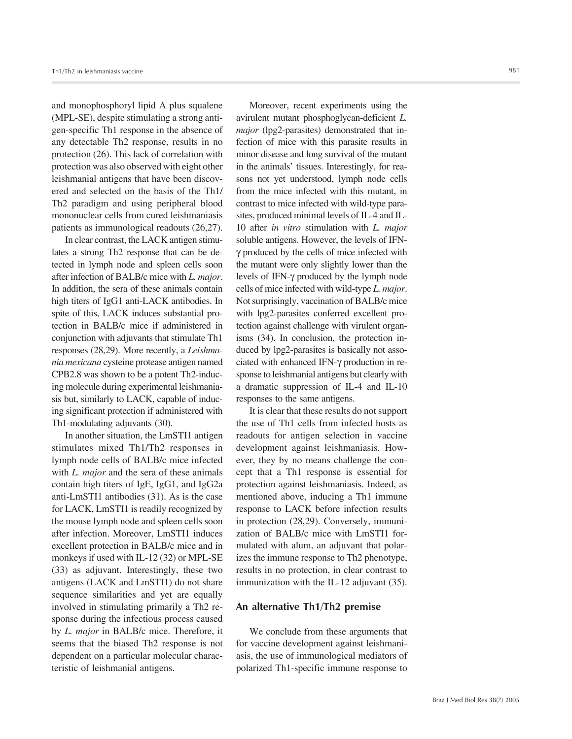and monophosphoryl lipid A plus squalene (MPL-SE), despite stimulating a strong antigen-specific Th1 response in the absence of any detectable Th2 response, results in no protection (26). This lack of correlation with protection was also observed with eight other leishmanial antigens that have been discovered and selected on the basis of the Th1/ Th2 paradigm and using peripheral blood mononuclear cells from cured leishmaniasis patients as immunological readouts (26,27).

In clear contrast, the LACK antigen stimulates a strong Th2 response that can be detected in lymph node and spleen cells soon after infection of BALB/c mice with *L. major*. In addition, the sera of these animals contain high titers of IgG1 anti-LACK antibodies. In spite of this, LACK induces substantial protection in BALB/c mice if administered in conjunction with adjuvants that stimulate Th1 responses (28,29). More recently, a *Leishmania mexicana* cysteine protease antigen named CPB2.8 was shown to be a potent Th2-inducing molecule during experimental leishmaniasis but, similarly to LACK, capable of inducing significant protection if administered with Th1-modulating adjuvants (30).

In another situation, the LmSTI1 antigen stimulates mixed Th1/Th2 responses in lymph node cells of BALB/c mice infected with *L. major* and the sera of these animals contain high titers of IgE, IgG1, and IgG2a anti-LmSTI1 antibodies (31). As is the case for LACK, LmSTI1 is readily recognized by the mouse lymph node and spleen cells soon after infection. Moreover, LmSTI1 induces excellent protection in BALB/c mice and in monkeys if used with IL-12 (32) or MPL-SE (33) as adjuvant. Interestingly, these two antigens (LACK and LmSTI1) do not share sequence similarities and yet are equally involved in stimulating primarily a Th2 response during the infectious process caused by *L. major* in BALB/c mice. Therefore, it seems that the biased Th2 response is not dependent on a particular molecular characteristic of leishmanial antigens.

Moreover, recent experiments using the avirulent mutant phosphoglycan-deficient *L. major* (lpg2-parasites) demonstrated that infection of mice with this parasite results in minor disease and long survival of the mutant in the animals' tissues. Interestingly, for reasons not yet understood, lymph node cells from the mice infected with this mutant, in contrast to mice infected with wild-type parasites, produced minimal levels of IL-4 and IL-10 after *in vitro* stimulation with *L. major* soluble antigens. However, the levels of IFNγ produced by the cells of mice infected with the mutant were only slightly lower than the levels of IFN-γ produced by the lymph node cells of mice infected with wild-type *L. major*. Not surprisingly, vaccination of BALB/c mice with lpg2-parasites conferred excellent protection against challenge with virulent organisms (34). In conclusion, the protection induced by lpg2-parasites is basically not associated with enhanced IFN-γ production in response to leishmanial antigens but clearly with a dramatic suppression of IL-4 and IL-10 responses to the same antigens.

It is clear that these results do not support the use of Th1 cells from infected hosts as readouts for antigen selection in vaccine development against leishmaniasis. However, they by no means challenge the concept that a Th1 response is essential for protection against leishmaniasis. Indeed, as mentioned above, inducing a Th1 immune response to LACK before infection results in protection (28,29). Conversely, immunization of BALB/c mice with LmSTI1 formulated with alum, an adjuvant that polarizes the immune response to Th2 phenotype, results in no protection, in clear contrast to immunization with the IL-12 adjuvant (35).

## **An alternative Th1/Th2 premise**

We conclude from these arguments that for vaccine development against leishmaniasis, the use of immunological mediators of polarized Th1-specific immune response to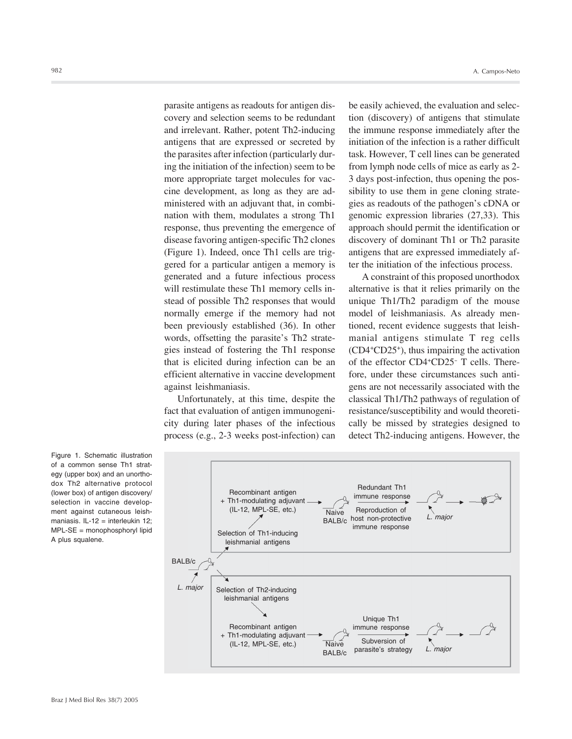parasite antigens as readouts for antigen discovery and selection seems to be redundant and irrelevant. Rather, potent Th2-inducing antigens that are expressed or secreted by the parasites after infection (particularly during the initiation of the infection) seem to be more appropriate target molecules for vaccine development, as long as they are administered with an adjuvant that, in combination with them, modulates a strong Th1 response, thus preventing the emergence of disease favoring antigen-specific Th2 clones (Figure 1). Indeed, once Th1 cells are triggered for a particular antigen a memory is generated and a future infectious process will restimulate these Th1 memory cells instead of possible Th2 responses that would normally emerge if the memory had not been previously established (36). In other words, offsetting the parasite's Th2 strategies instead of fostering the Th1 response that is elicited during infection can be an efficient alternative in vaccine development against leishmaniasis.

Unfortunately, at this time, despite the fact that evaluation of antigen immunogenicity during later phases of the infectious process (e.g., 2-3 weeks post-infection) can be easily achieved, the evaluation and selection (discovery) of antigens that stimulate the immune response immediately after the initiation of the infection is a rather difficult task. However, T cell lines can be generated from lymph node cells of mice as early as 2- 3 days post-infection, thus opening the possibility to use them in gene cloning strategies as readouts of the pathogen's cDNA or genomic expression libraries (27,33). This approach should permit the identification or discovery of dominant Th1 or Th2 parasite antigens that are expressed immediately after the initiation of the infectious process.

A constraint of this proposed unorthodox alternative is that it relies primarily on the unique Th1/Th2 paradigm of the mouse model of leishmaniasis. As already mentioned, recent evidence suggests that leishmanial antigens stimulate T reg cells (CD4+CD25+), thus impairing the activation of the effector CD4+CD25- T cells. Therefore, under these circumstances such antigens are not necessarily associated with the classical Th1/Th2 pathways of regulation of resistance/susceptibility and would theoretically be missed by strategies designed to detect Th2-inducing antigens. However, the

Figure 1. Schematic illustration of a common sense Th1 strategy (upper box) and an unorthodox Th2 alternative protocol (lower box) of antigen discovery/ selection in vaccine development against cutaneous leishmaniasis. IL-12 = interleukin 12; MPL-SE = monophosphoryl lipid A plus squalene.

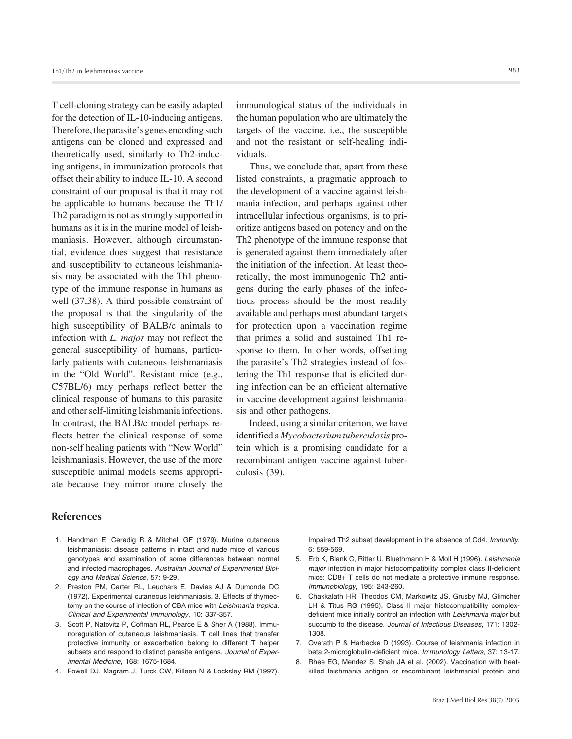T cell-cloning strategy can be easily adapted for the detection of IL-10-inducing antigens. Therefore, the parasite's genes encoding such antigens can be cloned and expressed and theoretically used, similarly to Th2-inducing antigens, in immunization protocols that offset their ability to induce IL-10. A second constraint of our proposal is that it may not be applicable to humans because the Th1/ Th2 paradigm is not as strongly supported in humans as it is in the murine model of leishmaniasis. However, although circumstantial, evidence does suggest that resistance and susceptibility to cutaneous leishmaniasis may be associated with the Th1 phenotype of the immune response in humans as well (37,38). A third possible constraint of the proposal is that the singularity of the high susceptibility of BALB/c animals to infection with *L. major* may not reflect the general susceptibility of humans, particularly patients with cutaneous leishmaniasis in the "Old World". Resistant mice (e.g., C57BL/6) may perhaps reflect better the clinical response of humans to this parasite and other self-limiting leishmania infections. In contrast, the BALB/c model perhaps reflects better the clinical response of some non-self healing patients with "New World" leishmaniasis. However, the use of the more susceptible animal models seems appropriate because they mirror more closely the

immunological status of the individuals in the human population who are ultimately the targets of the vaccine, i.e., the susceptible and not the resistant or self-healing individuals.

Thus, we conclude that, apart from these listed constraints, a pragmatic approach to the development of a vaccine against leishmania infection, and perhaps against other intracellular infectious organisms, is to prioritize antigens based on potency and on the Th2 phenotype of the immune response that is generated against them immediately after the initiation of the infection. At least theoretically, the most immunogenic Th2 antigens during the early phases of the infectious process should be the most readily available and perhaps most abundant targets for protection upon a vaccination regime that primes a solid and sustained Th1 response to them. In other words, offsetting the parasite's Th2 strategies instead of fostering the Th1 response that is elicited during infection can be an efficient alternative in vaccine development against leishmaniasis and other pathogens.

Indeed, using a similar criterion, we have identified a *Mycobacterium tuberculosis* protein which is a promising candidate for a recombinant antigen vaccine against tuberculosis (39).

## **References**

- 1. Handman E, Ceredig R & Mitchell GF (1979). Murine cutaneous leishmaniasis: disease patterns in intact and nude mice of various genotypes and examination of some differences between normal and infected macrophages. *Australian Journal of Experimental Biology and Medical Science*, 57: 9-29.
- 2. Preston PM, Carter RL, Leuchars E, Davies AJ & Dumonde DC (1972). Experimental cutaneous leishmaniasis. 3. Effects of thymectomy on the course of infection of CBA mice with *Leishmania tropica*. *Clinical and Experimental Immunology*, 10: 337-357.
- 3. Scott P, Natovitz P, Coffman RL, Pearce E & Sher A (1988). Immunoregulation of cutaneous leishmaniasis. T cell lines that transfer protective immunity or exacerbation belong to different T helper subsets and respond to distinct parasite antigens. *Journal of Experimental Medicine*, 168: 1675-1684.
- 4. Fowell DJ, Magram J, Turck CW, Killeen N & Locksley RM (1997).

Impaired Th2 subset development in the absence of Cd4. *Immunity*, 6: 559-569.

- 5. Erb K, Blank C, Ritter U, Bluethmann H & Moll H (1996). *Leishmania major* infection in major histocompatibility complex class II-deficient mice: CD8+ T cells do not mediate a protective immune response. *Immunobiology*, 195: 243-260.
- 6. Chakkalath HR, Theodos CM, Markowitz JS, Grusby MJ, Glimcher LH & Titus RG (1995). Class II major histocompatibility complexdeficient mice initially control an infection with *Leishmania major* but succumb to the disease. *Journal of Infectious Diseases*, 171: 1302- 1308.
- 7. Overath P & Harbecke D (1993). Course of leishmania infection in beta 2-microglobulin-deficient mice. *Immunology Letters*, 37: 13-17.
- 8. Rhee EG, Mendez S, Shah JA et al. (2002). Vaccination with heatkilled leishmania antigen or recombinant leishmanial protein and